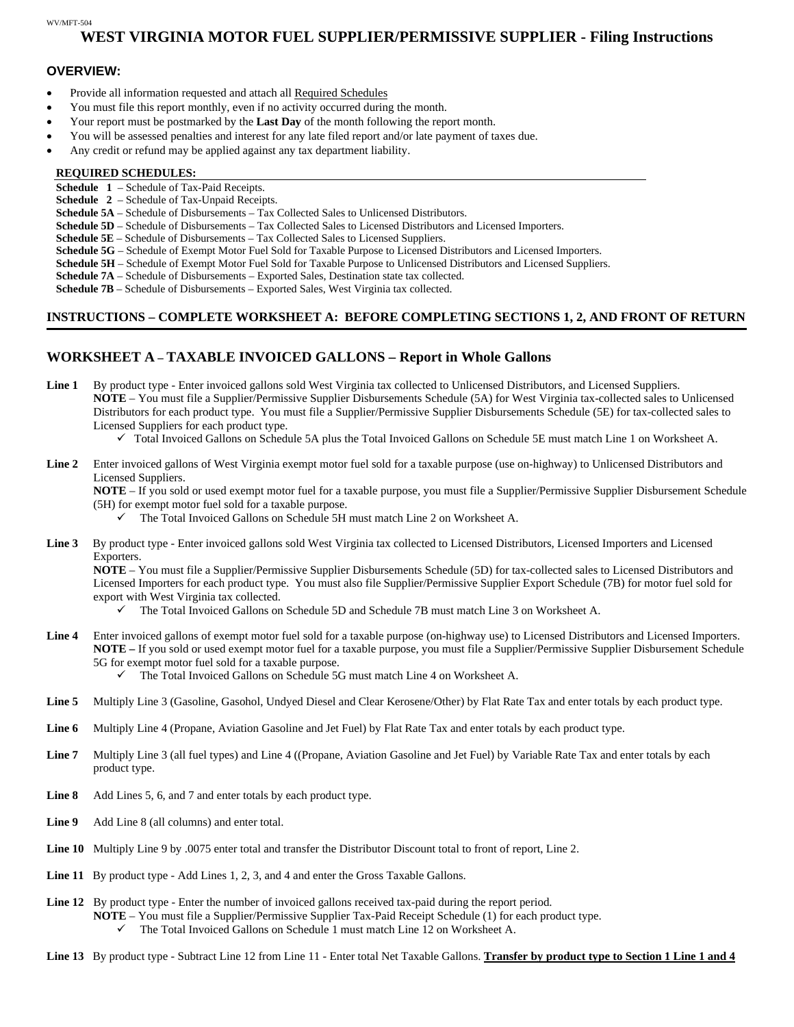#### WV/MFT-504

# **WEST VIRGINIA MOTOR FUEL SUPPLIER/PERMISSIVE SUPPLIER - Filing Instructions**

### **OVERVIEW:**

- Provide all information requested and attach all Required Schedules
- You must file this report monthly, even if no activity occurred during the month.
- Your report must be postmarked by the **Last Day** of the month following the report month.
- You will be assessed penalties and interest for any late filed report and/or late payment of taxes due.
- Any credit or refund may be applied against any tax department liability.

#### **REQUIRED SCHEDULES:**

- **Schedule 1** Schedule of Tax-Paid Receipts.
- **Schedule 2**  Schedule of Tax-Unpaid Receipts.
- **Schedule 5A** Schedule of Disbursements Tax Collected Sales to Unlicensed Distributors.
- **Schedule 5D** Schedule of Disbursements Tax Collected Sales to Licensed Distributors and Licensed Importers.
- **Schedule 5E** Schedule of Disbursements Tax Collected Sales to Licensed Suppliers.
- **Schedule 5G**  Schedule of Exempt Motor Fuel Sold for Taxable Purpose to Licensed Distributors and Licensed Importers.
- **Schedule 5H** Schedule of Exempt Motor Fuel Sold for Taxable Purpose to Unlicensed Distributors and Licensed Suppliers.
- **Schedule 7A** Schedule of Disbursements Exported Sales, Destination state tax collected.
- **Schedule 7B** Schedule of Disbursements Exported Sales, West Virginia tax collected.

### **INSTRUCTIONS – COMPLETE WORKSHEET A: BEFORE COMPLETING SECTIONS 1, 2, AND FRONT OF RETURN**

# **WORKSHEET A – TAXABLE INVOICED GALLONS – Report in Whole Gallons**

- **Line 1** By product type Enter invoiced gallons sold West Virginia tax collected to Unlicensed Distributors, and Licensed Suppliers. **NOTE** – You must file a Supplier/Permissive Supplier Disbursements Schedule (5A) for West Virginia tax-collected sales to Unlicensed Distributors for each product type. You must file a Supplier/Permissive Supplier Disbursements Schedule (5E) for tax-collected sales to Licensed Suppliers for each product type.
	- $\checkmark$  Total Invoiced Gallons on Schedule 5A plus the Total Invoiced Gallons on Schedule 5E must match Line 1 on Worksheet A.
- **Line 2** Enter invoiced gallons of West Virginia exempt motor fuel sold for a taxable purpose (use on-highway) to Unlicensed Distributors and Licensed Suppliers.

**NOTE** – If you sold or used exempt motor fuel for a taxable purpose, you must file a Supplier/Permissive Supplier Disbursement Schedule (5H) for exempt motor fuel sold for a taxable purpose.

- 9 The Total Invoiced Gallons on Schedule 5H must match Line 2 on Worksheet A.
- **Line 3** By product type Enter invoiced gallons sold West Virginia tax collected to Licensed Distributors, Licensed Importers and Licensed Exporters.

**NOTE** – You must file a Supplier/Permissive Supplier Disbursements Schedule (5D) for tax-collected sales to Licensed Distributors and Licensed Importers for each product type. You must also file Supplier/Permissive Supplier Export Schedule (7B) for motor fuel sold for export with West Virginia tax collected.

- $\checkmark$  The Total Invoiced Gallons on Schedule 5D and Schedule 7B must match Line 3 on Worksheet A.
- **Line 4** Enter invoiced gallons of exempt motor fuel sold for a taxable purpose (on-highway use) to Licensed Distributors and Licensed Importers. **NOTE –** If you sold or used exempt motor fuel for a taxable purpose, you must file a Supplier/Permissive Supplier Disbursement Schedule 5G for exempt motor fuel sold for a taxable purpose.
	- $\checkmark$  The Total Invoiced Gallons on Schedule 5G must match Line 4 on Worksheet A.
- **Line 5** Multiply Line 3 (Gasoline, Gasohol, Undyed Diesel and Clear Kerosene/Other) by Flat Rate Tax and enter totals by each product type.
- **Line 6** Multiply Line 4 (Propane, Aviation Gasoline and Jet Fuel) by Flat Rate Tax and enter totals by each product type.
- Line 7 Multiply Line 3 (all fuel types) and Line 4 ((Propane, Aviation Gasoline and Jet Fuel) by Variable Rate Tax and enter totals by each product type.
- **Line 8** Add Lines 5, 6, and 7 and enter totals by each product type.
- **Line 9** Add Line 8 (all columns) and enter total.
- **Line 10** Multiply Line 9 by .0075 enter total and transfer the Distributor Discount total to front of report, Line 2.
- **Line 11** By product type Add Lines 1, 2, 3, and 4 and enter the Gross Taxable Gallons.
- **Line 12** By product type Enter the number of invoiced gallons received tax-paid during the report period. **NOTE** – You must file a Supplier/Permissive Supplier Tax-Paid Receipt Schedule (1) for each product type. The Total Invoiced Gallons on Schedule 1 must match Line 12 on Worksheet A.
- **Line 13** By product type Subtract Line 12 from Line 11 Enter total Net Taxable Gallons. **Transfer by product type to Section 1 Line 1 and 4**